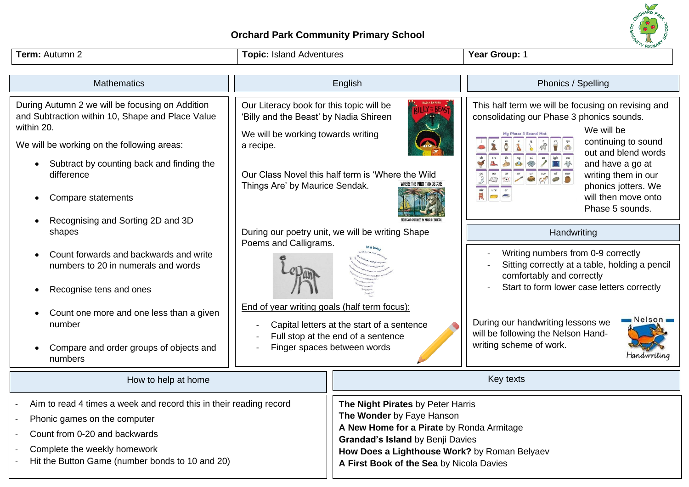## **Orchard Park Community Primary School**



**Grandad's Island** by Benji Davies

**A First Book of the Sea** by Nicola Davies

**How Does a Lighthouse Work?** by Roman Belyaev

- Complete the weekly homework
- Hit the Button Game (number bonds to 10 and 20)